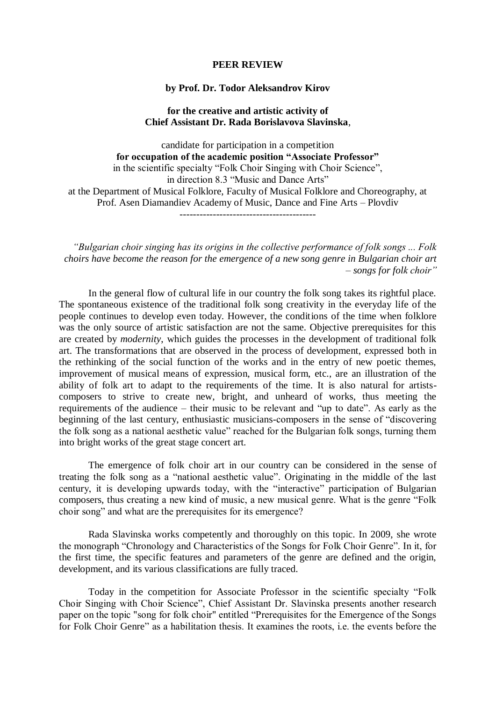## **PEER REVIEW**

## **by Prof. Dr. Todor Aleksandrov Kirov**

## **for the creative and artistic activity of Chief Assistant Dr. Rada Borislavova Slavinska**,

candidate for participation in a competition **for occupation of the academic position "Associate Professor"** in the scientific specialty "Folk Choir Singing with Choir Science", in direction 8.3 "Music and Dance Arts" at the Department of Musical Folklore, Faculty of Musical Folklore and Choreography, at Prof. Asen Diamandiev Academy of Music, Dance and Fine Arts – Plovdiv -----------------------------------------

*"Bulgarian choir singing has its origins in the collective performance of folk songs ... Folk choirs have become the reason for the emergence of a new song genre in Bulgarian choir art – songs for folk choir"*

In the general flow of cultural life in our country the folk song takes its rightful place. The spontaneous existence of the traditional folk song creativity in the everyday life of the people continues to develop even today. However, the conditions of the time when folklore was the only source of artistic satisfaction are not the same. Objective prerequisites for this are created by *modernity*, which guides the processes in the development of traditional folk art. The transformations that are observed in the process of development, expressed both in the rethinking of the social function of the works and in the entry of new poetic themes, improvement of musical means of expression, musical form, etc., are an illustration of the ability of folk art to adapt to the requirements of the time. It is also natural for artistscomposers to strive to create new, bright, and unheard of works, thus meeting the requirements of the audience – their music to be relevant and "up to date". As early as the beginning of the last century, enthusiastic musicians-composers in the sense of "discovering the folk song as a national aesthetic value" reached for the Bulgarian folk songs, turning them into bright works of the great stage concert art.

The emergence of folk choir art in our country can be considered in the sense of treating the folk song as a "national aesthetic value". Originating in the middle of the last century, it is developing upwards today, with the "interactive" participation of Bulgarian composers, thus creating a new kind of music, a new musical genre. What is the genre "Folk choir song" and what are the prerequisites for its emergence?

Rada Slavinska works competently and thoroughly on this topic. In 2009, she wrote the monograph "Chronology and Characteristics of the Songs for Folk Choir Genre". In it, for the first time, the specific features and parameters of the genre are defined and the origin, development, and its various classifications are fully traced.

Today in the competition for Associate Professor in the scientific specialty "Folk Choir Singing with Choir Science", Chief Assistant Dr. Slavinska presents another research paper on the topic "song for folk choir" entitled "Prerequisites for the Emergence of the Songs for Folk Choir Genre" as a habilitation thesis. It examines the roots, i.e. the events before the